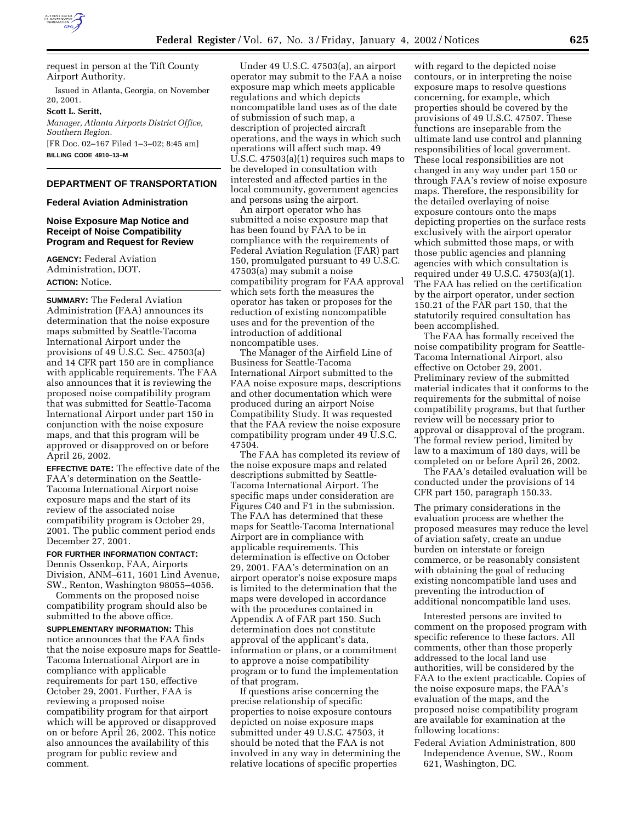

request in person at the Tift County Airport Authority.

Issued in Atlanta, Georgia, on November 20, 2001.

**Scott L. Seritt,** *Manager, Atlanta Airports District Office, Southern Region.* [FR Doc. 02–167 Filed 1–3–02; 8:45 am] **BILLING CODE 4910–13–M**

# **DEPARTMENT OF TRANSPORTATION**

#### **Federal Aviation Administration**

# **Noise Exposure Map Notice and Receipt of Noise Compatibility Program and Request for Review**

**AGENCY:** Federal Aviation Administration, DOT. **ACTION:** Notice.

**SUMMARY:** The Federal Aviation Administration (FAA) announces its determination that the noise exposure maps submitted by Seattle-Tacoma International Airport under the provisions of 49 U.S.C. Sec. 47503(a) and 14 CFR part 150 are in compliance with applicable requirements. The FAA also announces that it is reviewing the proposed noise compatibility program that was submitted for Seattle-Tacoma International Airport under part 150 in conjunction with the noise exposure maps, and that this program will be approved or disapproved on or before April 26, 2002.

**EFFECTIVE DATE:** The effective date of the FAA's determination on the Seattle-Tacoma International Airport noise exposure maps and the start of its review of the associated noise compatibility program is October 29, 2001. The public comment period ends December 27, 2001.

#### **FOR FURTHER INFORMATION CONTACT:**

Dennis Ossenkop, FAA, Airports Division, ANM–611, 1601 Lind Avenue, SW., Renton, Washington 98055–4056.

Comments on the proposed noise compatibility program should also be submitted to the above office.

**SUPPLEMENTARY INFORMATION:** This notice announces that the FAA finds that the noise exposure maps for Seattle-Tacoma International Airport are in compliance with applicable requirements for part 150, effective October 29, 2001. Further, FAA is reviewing a proposed noise compatibility program for that airport which will be approved or disapproved on or before April 26, 2002. This notice also announces the availability of this program for public review and comment.

Under 49 U.S.C. 47503(a), an airport operator may submit to the FAA a noise exposure map which meets applicable regulations and which depicts noncompatible land uses as of the date of submission of such map, a description of projected aircraft operations, and the ways in which such operations will affect such map. 49 U.S.C. 47503(a)(1) requires such maps to be developed in consultation with interested and affected parties in the local community, government agencies and persons using the airport.

An airport operator who has submitted a noise exposure map that has been found by FAA to be in compliance with the requirements of Federal Aviation Regulation (FAR) part 150, promulgated pursuant to 49 U.S.C. 47503(a) may submit a noise compatibility program for FAA approval which sets forth the measures the operator has taken or proposes for the reduction of existing noncompatible uses and for the prevention of the introduction of additional noncompatible uses.

The Manager of the Airfield Line of Business for Seattle-Tacoma International Airport submitted to the FAA noise exposure maps, descriptions and other documentation which were produced during an airport Noise Compatibility Study. It was requested that the FAA review the noise exposure compatibility program under 49 U.S.C. 47504.

The FAA has completed its review of the noise exposure maps and related descriptions submitted by Seattle-Tacoma International Airport. The specific maps under consideration are Figures C40 and F1 in the submission. The FAA has determined that these maps for Seattle-Tacoma International Airport are in compliance with applicable requirements. This determination is effective on October 29, 2001. FAA's determination on an airport operator's noise exposure maps is limited to the determination that the maps were developed in accordance with the procedures contained in Appendix A of FAR part 150. Such determination does not constitute approval of the applicant's data, information or plans, or a commitment to approve a noise compatibility program or to fund the implementation of that program.

If questions arise concerning the precise relationship of specific properties to noise exposure contours depicted on noise exposure maps submitted under 49 U.S.C. 47503, it should be noted that the FAA is not involved in any way in determining the relative locations of specific properties

with regard to the depicted noise contours, or in interpreting the noise exposure maps to resolve questions concerning, for example, which properties should be covered by the provisions of 49 U.S.C. 47507. These functions are inseparable from the ultimate land use control and planning responsibilities of local government. These local responsibilities are not changed in any way under part 150 or through FAA's review of noise exposure maps. Therefore, the responsibility for the detailed overlaying of noise exposure contours onto the maps depicting properties on the surface rests exclusively with the airport operator which submitted those maps, or with those public agencies and planning agencies with which consultation is required under 49 U.S.C. 47503(a)(1). The FAA has relied on the certification by the airport operator, under section 150.21 of the FAR part 150, that the statutorily required consultation has been accomplished.

The FAA has formally received the noise compatibility program for Seattle-Tacoma International Airport, also effective on October 29, 2001. Preliminary review of the submitted material indicates that it conforms to the requirements for the submittal of noise compatibility programs, but that further review will be necessary prior to approval or disapproval of the program. The formal review period, limited by law to a maximum of 180 days, will be completed on or before April 26, 2002.

The FAA's detailed evaluation will be conducted under the provisions of 14 CFR part 150, paragraph 150.33.

The primary considerations in the evaluation process are whether the proposed measures may reduce the level of aviation safety, create an undue burden on interstate or foreign commerce, or be reasonably consistent with obtaining the goal of reducing existing noncompatible land uses and preventing the introduction of additional noncompatible land uses.

Interested persons are invited to comment on the proposed program with specific reference to these factors. All comments, other than those properly addressed to the local land use authorities, will be considered by the FAA to the extent practicable. Copies of the noise exposure maps, the FAA's evaluation of the maps, and the proposed noise compatibility program are available for examination at the following locations:

Federal Aviation Administration, 800 Independence Avenue, SW., Room 621, Washington, DC.